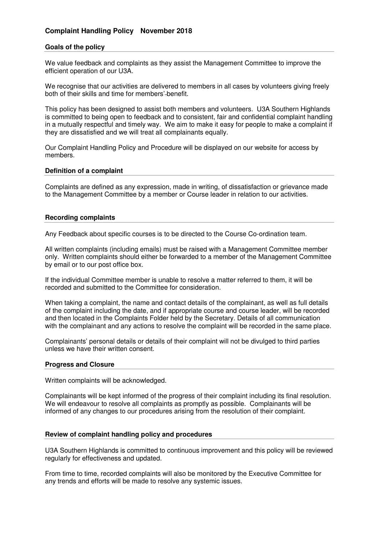# **Complaint Handling Policy November 2018**

## **Goals of the policy**

We value feedback and complaints as they assist the Management Committee to improve the efficient operation of our U3A.

We recognise that our activities are delivered to members in all cases by volunteers giving freely both of their skills and time for members' benefit.

This policy has been designed to assist both members and volunteers. U3A Southern Highlands is committed to being open to feedback and to consistent, fair and confidential complaint handling in a mutually respectful and timely way. We aim to make it easy for people to make a complaint if they are dissatisfied and we will treat all complainants equally.

Our Complaint Handling Policy and Procedure will be displayed on our website for access by members.

### **Definition of a complaint**

Complaints are defined as any expression, made in writing, of dissatisfaction or grievance made to the Management Committee by a member or Course leader in relation to our activities.

#### **Recording complaints**

Any Feedback about specific courses is to be directed to the Course Co-ordination team.

All written complaints (including emails) must be raised with a Management Committee member only. Written complaints should either be forwarded to a member of the Management Committee by email or to our post office box.

If the individual Committee member is unable to resolve a matter referred to them, it will be recorded and submitted to the Committee for consideration.

When taking a complaint, the name and contact details of the complainant, as well as full details of the complaint including the date, and if appropriate course and course leader, will be recorded and then located in the Complaints Folder held by the Secretary. Details of all communication with the complainant and any actions to resolve the complaint will be recorded in the same place.

Complainants' personal details or details of their complaint will not be divulged to third parties unless we have their written consent.

### **Progress and Closure**

Written complaints will be acknowledged.

Complainants will be kept informed of the progress of their complaint including its final resolution. We will endeavour to resolve all complaints as promptly as possible. Complainants will be informed of any changes to our procedures arising from the resolution of their complaint.

## **Review of complaint handling policy and procedures**

U3A Southern Highlands is committed to continuous improvement and this policy will be reviewed regularly for effectiveness and updated.

From time to time, recorded complaints will also be monitored by the Executive Committee for any trends and efforts will be made to resolve any systemic issues.